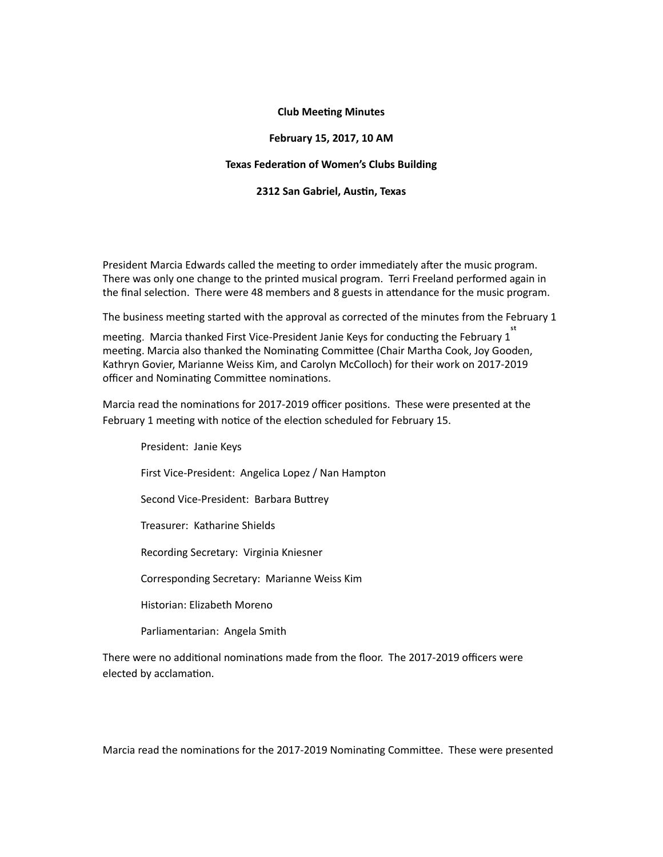## **Club Meeting Minutes**

## **February 15, 2017, 10 AM**

#### **Texas Federation of Women's Clubs Building**

### **2312 San Gabriel, Austin, Texas**

President Marcia Edwards called the meeting to order immediately after the music program. There was only one change to the printed musical program. Terri Freeland performed again in the final selection. There were 48 members and 8 guests in attendance for the music program.

The business meeting started with the approval as corrected of the minutes from the February 1

meeting. Marcia thanked First Vice-President Janie Keys for conducting the February 1 meeting. Marcia also thanked the Nominating Committee (Chair Martha Cook, Joy Gooden, Kathryn Govier, Marianne Weiss Kim, and Carolyn McColloch) for their work on 2017-2019 officer and Nominating Committee nominations.

Marcia read the nominations for 2017-2019 officer positions. These were presented at the February 1 meeting with notice of the election scheduled for February 15.

President: Janie Keys First Vice-President: Angelica Lopez / Nan Hampton Second Vice-President: Barbara Buttrey Treasurer: Katharine Shields Recording Secretary: Virginia Kniesner Corresponding Secretary: Marianne Weiss Kim Historian: Elizabeth Moreno Parliamentarian: Angela Smith

There were no additional nominations made from the floor. The 2017-2019 officers were elected by acclamation.

Marcia read the nominations for the 2017-2019 Nominating Committee. These were presented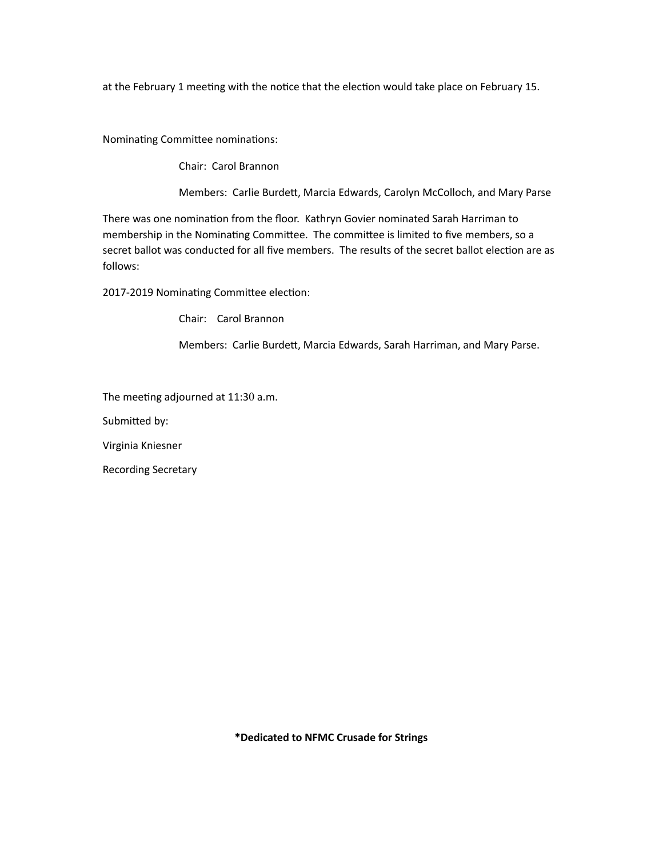at the February 1 meeting with the notice that the election would take place on February 15.

Nominating Committee nominations:

Chair: Carol Brannon

Members: Carlie Burdett, Marcia Edwards, Carolyn McColloch, and Mary Parse

There was one nomination from the floor. Kathryn Govier nominated Sarah Harriman to membership in the Nominating Committee. The committee is limited to five members, so a secret ballot was conducted for all five members. The results of the secret ballot election are as follows:

2017-2019 Nominating Committee election:

Chair: Carol Brannon

Members: Carlie Burdett, Marcia Edwards, Sarah Harriman, and Mary Parse.

The meeting adjourned at  $11:30$  a.m.

Submitted by:

Virginia Kniesner 

Recording Secretary

**\*Dedicated to NFMC Crusade for Strings**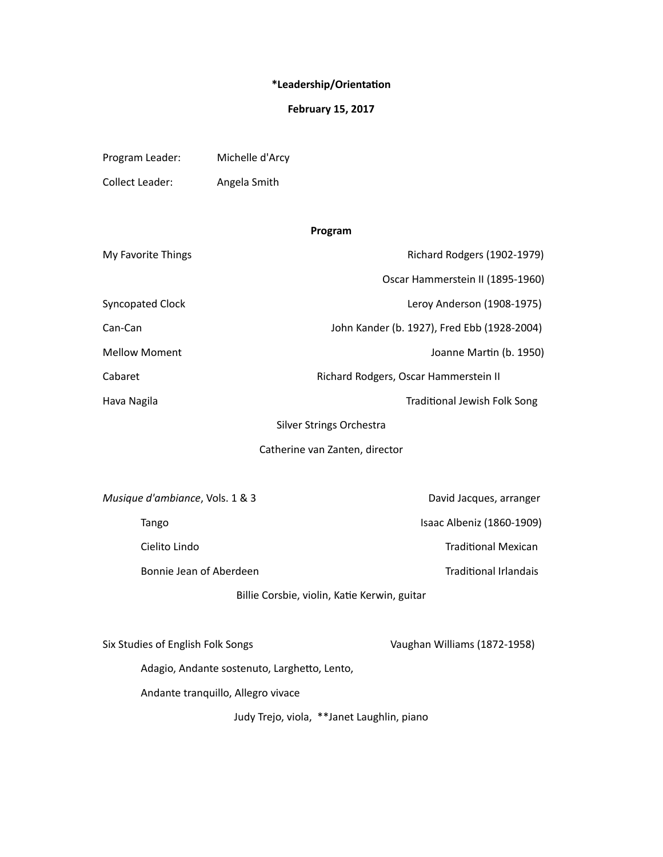# $*$ Leadership/Orientation

# **February 15, 2017**

| Program Leader: | Michelle d'Arcy |
|-----------------|-----------------|
| Collect Leader: | Angela Smith    |

# **Program**

| Richard Rodgers (1902-1979)                 |  |
|---------------------------------------------|--|
| Oscar Hammerstein II (1895-1960)            |  |
| Leroy Anderson (1908-1975)                  |  |
| John Kander (b. 1927), Fred Ebb (1928-2004) |  |
| Joanne Martin (b. 1950)                     |  |
| Richard Rodgers, Oscar Hammerstein II       |  |
| Traditional Jewish Folk Song                |  |
| Silver Strings Orchestra                    |  |
| Catherine van Zanten, director              |  |
|                                             |  |
| David Jacques, arranger                     |  |
| Isaac Albeniz (1860-1909)                   |  |
|                                             |  |

Cielito Lindo **Traditional Mexican** 

Bonnie Jean of Aberdeen Traditional Irlandais

Billie Corsbie, violin, Katie Kerwin, guitar

| Six Studies of English Folk Songs | Vaughan Williams (1872-1958) |
|-----------------------------------|------------------------------|
|                                   |                              |

Adagio, Andante sostenuto, Larghetto, Lento,

Andante tranquillo, Allegro vivace

Judy Trejo, viola, \*\*Janet Laughlin, piano